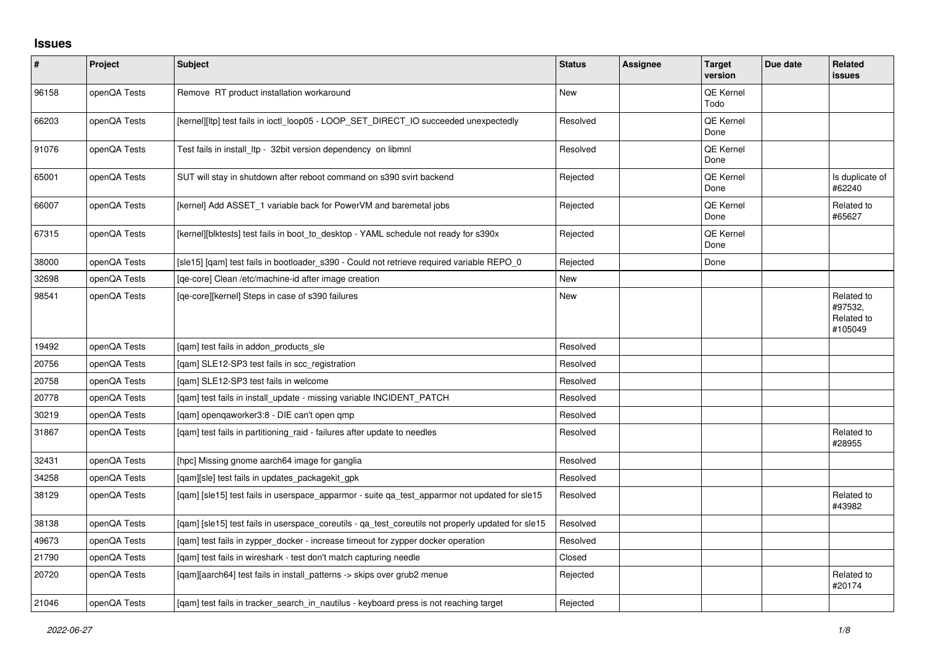## **Issues**

| $\sharp$ | Project      | <b>Subject</b>                                                                                     | <b>Status</b> | <b>Assignee</b> | <b>Target</b><br>version | Due date | <b>Related</b><br>issues                       |
|----------|--------------|----------------------------------------------------------------------------------------------------|---------------|-----------------|--------------------------|----------|------------------------------------------------|
| 96158    | openQA Tests | Remove RT product installation workaround                                                          | <b>New</b>    |                 | QE Kernel<br>Todo        |          |                                                |
| 66203    | openQA Tests | [kernel][ltp] test fails in ioctl_loop05 - LOOP_SET_DIRECT_IO succeeded unexpectedly               | Resolved      |                 | <b>QE Kernel</b><br>Done |          |                                                |
| 91076    | openQA Tests | Test fails in install_ltp - 32bit version dependency on libmnl                                     | Resolved      |                 | <b>QE Kernel</b><br>Done |          |                                                |
| 65001    | openQA Tests | SUT will stay in shutdown after reboot command on s390 svirt backend                               | Rejected      |                 | <b>QE Kernel</b><br>Done |          | Is duplicate of<br>#62240                      |
| 66007    | openQA Tests | [kernel] Add ASSET 1 variable back for PowerVM and baremetal jobs                                  | Rejected      |                 | <b>QE Kernel</b><br>Done |          | Related to<br>#65627                           |
| 67315    | openQA Tests | [kernel][blktests] test fails in boot to desktop - YAML schedule not ready for s390x               | Rejected      |                 | QE Kernel<br>Done        |          |                                                |
| 38000    | openQA Tests | [sle15] [qam] test fails in bootloader_s390 - Could not retrieve required variable REPO_0          | Rejected      |                 | Done                     |          |                                                |
| 32698    | openQA Tests | [qe-core] Clean /etc/machine-id after image creation                                               | New           |                 |                          |          |                                                |
| 98541    | openQA Tests | [ge-core][kernel] Steps in case of s390 failures                                                   | <b>New</b>    |                 |                          |          | Related to<br>#97532,<br>Related to<br>#105049 |
| 19492    | openQA Tests | [gam] test fails in addon products sle                                                             | Resolved      |                 |                          |          |                                                |
| 20756    | openQA Tests | [qam] SLE12-SP3 test fails in scc_registration                                                     | Resolved      |                 |                          |          |                                                |
| 20758    | openQA Tests | [gam] SLE12-SP3 test fails in welcome                                                              | Resolved      |                 |                          |          |                                                |
| 20778    | openQA Tests | [qam] test fails in install_update - missing variable INCIDENT_PATCH                               | Resolved      |                 |                          |          |                                                |
| 30219    | openQA Tests | [qam] openqaworker3:8 - DIE can't open qmp                                                         | Resolved      |                 |                          |          |                                                |
| 31867    | openQA Tests | [gam] test fails in partitioning raid - failures after update to needles                           | Resolved      |                 |                          |          | Related to<br>#28955                           |
| 32431    | openQA Tests | [hpc] Missing gnome aarch64 image for ganglia                                                      | Resolved      |                 |                          |          |                                                |
| 34258    | openQA Tests | [qam][sle] test fails in updates_packagekit_gpk                                                    | Resolved      |                 |                          |          |                                                |
| 38129    | openQA Tests | [qam] [sle15] test fails in userspace_apparmor - suite qa_test_apparmor not updated for sle15      | Resolved      |                 |                          |          | Related to<br>#43982                           |
| 38138    | openQA Tests | [gam] [sle15] test fails in userspace coreutils - ga test coreutils not properly updated for sle15 | Resolved      |                 |                          |          |                                                |
| 49673    | openQA Tests | [gam] test fails in zypper docker - increase timeout for zypper docker operation                   | Resolved      |                 |                          |          |                                                |
| 21790    | openQA Tests | [gam] test fails in wireshark - test don't match capturing needle                                  | Closed        |                 |                          |          |                                                |
| 20720    | openQA Tests | [gam][aarch64] test fails in install patterns -> skips over grub2 menue                            | Rejected      |                 |                          |          | Related to<br>#20174                           |
| 21046    | openQA Tests | [gam] test fails in tracker search in nautilus - keyboard press is not reaching target             | Rejected      |                 |                          |          |                                                |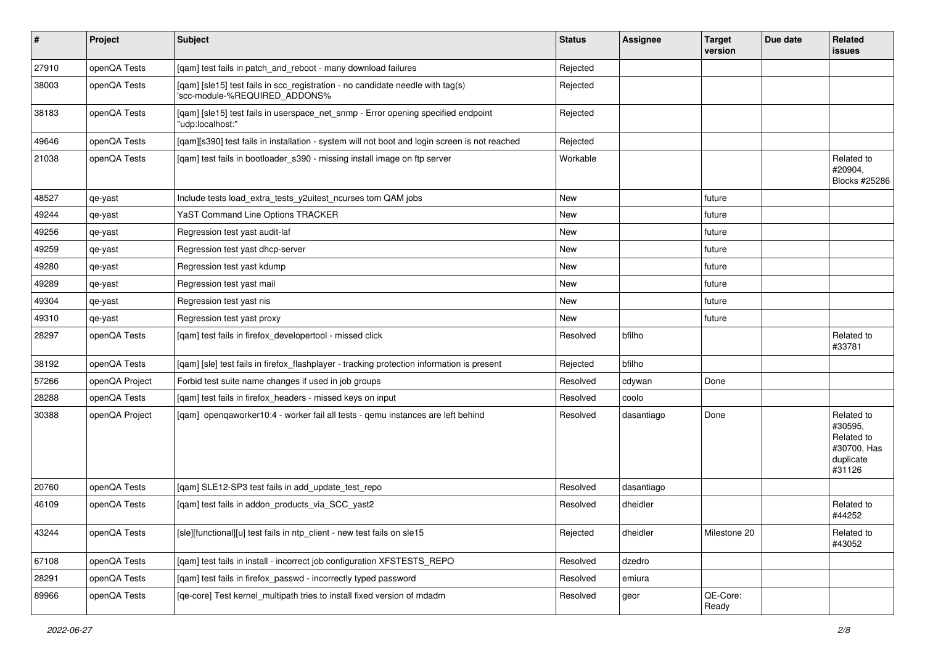| $\vert$ # | Project        | <b>Subject</b>                                                                                                  | <b>Status</b> | <b>Assignee</b> | <b>Target</b><br>version | Due date | Related<br>issues                                                         |
|-----------|----------------|-----------------------------------------------------------------------------------------------------------------|---------------|-----------------|--------------------------|----------|---------------------------------------------------------------------------|
| 27910     | openQA Tests   | [qam] test fails in patch_and_reboot - many download failures                                                   | Rejected      |                 |                          |          |                                                                           |
| 38003     | openQA Tests   | [qam] [sle15] test fails in scc_registration - no candidate needle with tag(s)<br>'scc-module-%REQUIRED_ADDONS% | Rejected      |                 |                          |          |                                                                           |
| 38183     | openQA Tests   | [qam] [sle15] test fails in userspace_net_snmp - Error opening specified endpoint<br>"udp:localhost:"           | Rejected      |                 |                          |          |                                                                           |
| 49646     | openQA Tests   | [qam][s390] test fails in installation - system will not boot and login screen is not reached                   | Rejected      |                 |                          |          |                                                                           |
| 21038     | openQA Tests   | [qam] test fails in bootloader_s390 - missing install image on ftp server                                       | Workable      |                 |                          |          | Related to<br>#20904,<br>Blocks #25286                                    |
| 48527     | qe-yast        | Include tests load_extra_tests_y2uitest_ncurses tom QAM jobs                                                    | New           |                 | future                   |          |                                                                           |
| 49244     | qe-yast        | YaST Command Line Options TRACKER                                                                               | <b>New</b>    |                 | future                   |          |                                                                           |
| 49256     | qe-yast        | Regression test yast audit-laf                                                                                  | New           |                 | future                   |          |                                                                           |
| 49259     | qe-yast        | Regression test yast dhcp-server                                                                                | New           |                 | future                   |          |                                                                           |
| 49280     | qe-yast        | Regression test yast kdump                                                                                      | New           |                 | future                   |          |                                                                           |
| 49289     | qe-yast        | Regression test yast mail                                                                                       | New           |                 | future                   |          |                                                                           |
| 49304     | qe-yast        | Regression test yast nis                                                                                        | New           |                 | future                   |          |                                                                           |
| 49310     | qe-yast        | Regression test yast proxy                                                                                      | New           |                 | future                   |          |                                                                           |
| 28297     | openQA Tests   | [qam] test fails in firefox_developertool - missed click                                                        | Resolved      | bfilho          |                          |          | Related to<br>#33781                                                      |
| 38192     | openQA Tests   | [qam] [sle] test fails in firefox_flashplayer - tracking protection information is present                      | Rejected      | bfilho          |                          |          |                                                                           |
| 57266     | openQA Project | Forbid test suite name changes if used in job groups                                                            | Resolved      | cdywan          | Done                     |          |                                                                           |
| 28288     | openQA Tests   | [qam] test fails in firefox_headers - missed keys on input                                                      | Resolved      | coolo           |                          |          |                                                                           |
| 30388     | openQA Project | [qam] openqaworker10:4 - worker fail all tests - qemu instances are left behind                                 | Resolved      | dasantiago      | Done                     |          | Related to<br>#30595,<br>Related to<br>#30700, Has<br>duplicate<br>#31126 |
| 20760     | openQA Tests   | [qam] SLE12-SP3 test fails in add_update_test_repo                                                              | Resolved      | dasantiago      |                          |          |                                                                           |
| 46109     | openQA Tests   | [qam] test fails in addon_products_via_SCC_yast2                                                                | Resolved      | dheidler        |                          |          | Related to<br>#44252                                                      |
| 43244     | openQA Tests   | [sle][functional][u] test fails in ntp_client - new test fails on sle15                                         | Rejected      | dheidler        | Milestone 20             |          | Related to<br>#43052                                                      |
| 67108     | openQA Tests   | [qam] test fails in install - incorrect job configuration XFSTESTS_REPO                                         | Resolved      | dzedro          |                          |          |                                                                           |
| 28291     | openQA Tests   | [qam] test fails in firefox_passwd - incorrectly typed password                                                 | Resolved      | emiura          |                          |          |                                                                           |
| 89966     | openQA Tests   | [qe-core] Test kernel_multipath tries to install fixed version of mdadm                                         | Resolved      | geor            | QE-Core:<br>Ready        |          |                                                                           |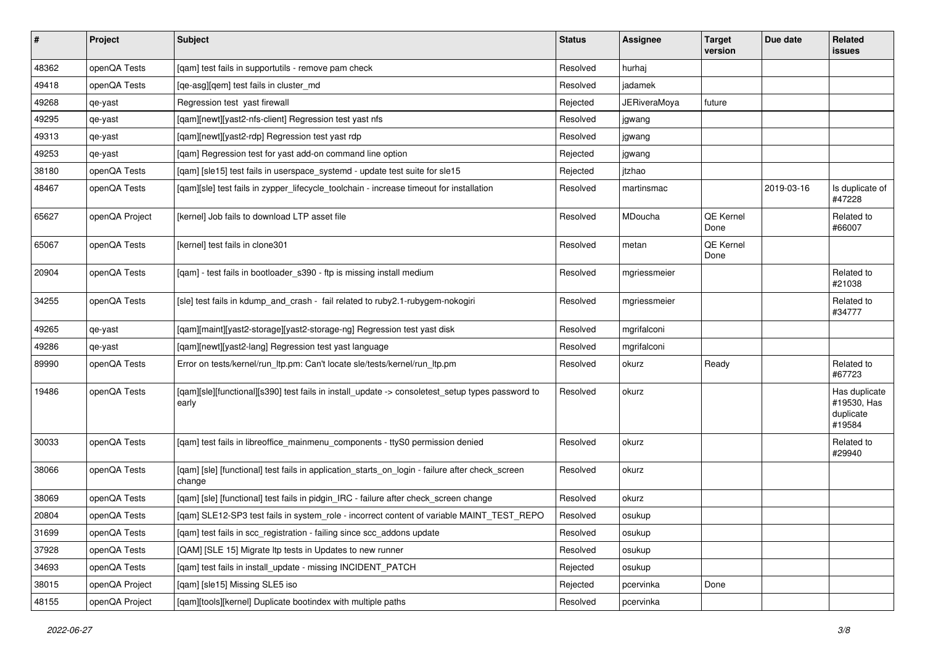| $\vert$ # | Project        | <b>Subject</b>                                                                                            | <b>Status</b> | <b>Assignee</b>     | <b>Target</b><br>version | Due date   | Related<br>issues                                   |
|-----------|----------------|-----------------------------------------------------------------------------------------------------------|---------------|---------------------|--------------------------|------------|-----------------------------------------------------|
| 48362     | openQA Tests   | [qam] test fails in supportutils - remove pam check                                                       | Resolved      | hurhai              |                          |            |                                                     |
| 49418     | openQA Tests   | [qe-asg][qem] test fails in cluster md                                                                    | Resolved      | jadamek             |                          |            |                                                     |
| 49268     | qe-yast        | Regression test yast firewall                                                                             | Rejected      | <b>JERiveraMoya</b> | future                   |            |                                                     |
| 49295     | qe-yast        | [qam][newt][yast2-nfs-client] Regression test yast nfs                                                    | Resolved      | jgwang              |                          |            |                                                     |
| 49313     | qe-yast        | [gam][newt][yast2-rdp] Regression test yast rdp                                                           | Resolved      | jgwang              |                          |            |                                                     |
| 49253     | qe-yast        | [qam] Regression test for yast add-on command line option                                                 | Rejected      | jgwang              |                          |            |                                                     |
| 38180     | openQA Tests   | [qam] [sle15] test fails in userspace_systemd - update test suite for sle15                               | Rejected      | itzhao              |                          |            |                                                     |
| 48467     | openQA Tests   | [qam][sle] test fails in zypper_lifecycle_toolchain - increase timeout for installation                   | Resolved      | martinsmac          |                          | 2019-03-16 | Is duplicate of<br>#47228                           |
| 65627     | openQA Project | [kernel] Job fails to download LTP asset file                                                             | Resolved      | MDoucha             | <b>QE Kernel</b><br>Done |            | Related to<br>#66007                                |
| 65067     | openQA Tests   | [kernel] test fails in clone301                                                                           | Resolved      | metan               | QE Kernel<br>Done        |            |                                                     |
| 20904     | openQA Tests   | [qam] - test fails in bootloader_s390 - ftp is missing install medium                                     | Resolved      | mgriessmeier        |                          |            | Related to<br>#21038                                |
| 34255     | openQA Tests   | [sle] test fails in kdump_and_crash - fail related to ruby2.1-rubygem-nokogiri                            | Resolved      | mgriessmeier        |                          |            | Related to<br>#34777                                |
| 49265     | qe-yast        | [qam][maint][yast2-storage][yast2-storage-ng] Regression test yast disk                                   | Resolved      | mgrifalconi         |                          |            |                                                     |
| 49286     | qe-yast        | [qam][newt][yast2-lang] Regression test yast language                                                     | Resolved      | mgrifalconi         |                          |            |                                                     |
| 89990     | openQA Tests   | Error on tests/kernel/run_ltp.pm: Can't locate sle/tests/kernel/run_ltp.pm                                | Resolved      | okurz               | Ready                    |            | Related to<br>#67723                                |
| 19486     | openQA Tests   | [qam][sle][functional][s390] test fails in install_update -> consoletest_setup types password to<br>early | Resolved      | okurz               |                          |            | Has duplicate<br>#19530, Has<br>duplicate<br>#19584 |
| 30033     | openQA Tests   | [qam] test fails in libreoffice_mainmenu_components - ttyS0 permission denied                             | Resolved      | okurz               |                          |            | Related to<br>#29940                                |
| 38066     | openQA Tests   | [qam] [sle] [functional] test fails in application_starts_on_login - failure after check_screen<br>change | Resolved      | okurz               |                          |            |                                                     |
| 38069     | openQA Tests   | [qam] [sle] [functional] test fails in pidgin_IRC - failure after check_screen change                     | Resolved      | okurz               |                          |            |                                                     |
| 20804     | openQA Tests   | [gam] SLE12-SP3 test fails in system_role - incorrect content of variable MAINT_TEST_REPO                 | Resolved      | osukup              |                          |            |                                                     |
| 31699     | openQA Tests   | [qam] test fails in scc_registration - failing since scc_addons update                                    | Resolved      | osukup              |                          |            |                                                     |
| 37928     | openQA Tests   | [QAM] [SLE 15] Migrate Itp tests in Updates to new runner                                                 | Resolved      | osukup              |                          |            |                                                     |
| 34693     | openQA Tests   | [qam] test fails in install_update - missing INCIDENT_PATCH                                               | Rejected      | osukup              |                          |            |                                                     |
| 38015     | openQA Project | [qam] [sle15] Missing SLE5 iso                                                                            | Rejected      | pcervinka           | Done                     |            |                                                     |
| 48155     | openQA Project | [qam][tools][kernel] Duplicate bootindex with multiple paths                                              | Resolved      | pcervinka           |                          |            |                                                     |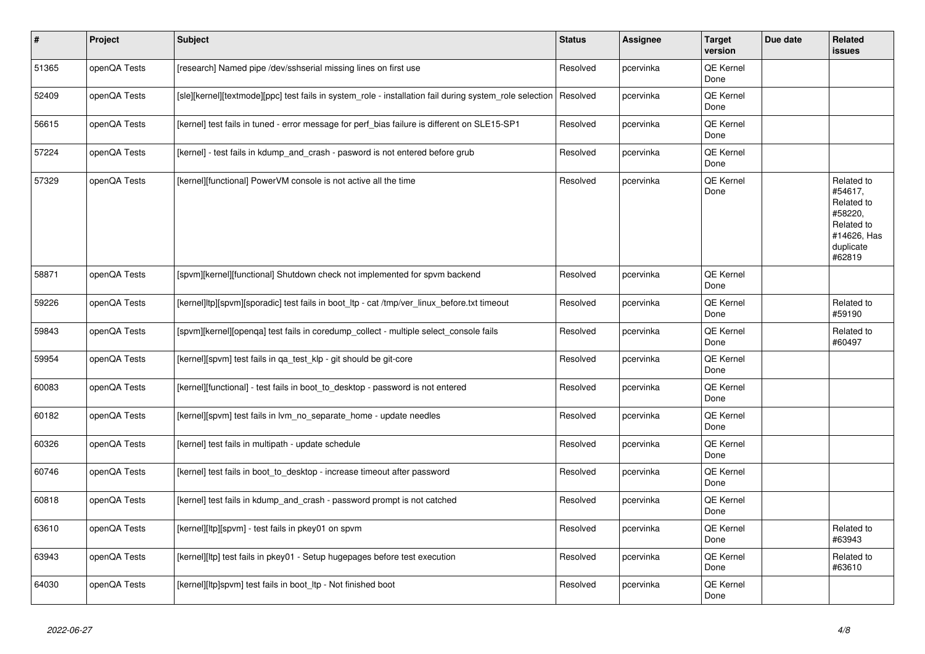| $\pmb{\sharp}$ | <b>Project</b> | <b>Subject</b>                                                                                          | <b>Status</b> | Assignee  | <b>Target</b><br>version | Due date | Related<br><b>issues</b>                                                                           |
|----------------|----------------|---------------------------------------------------------------------------------------------------------|---------------|-----------|--------------------------|----------|----------------------------------------------------------------------------------------------------|
| 51365          | openQA Tests   | [research] Named pipe /dev/sshserial missing lines on first use                                         | Resolved      | pcervinka | QE Kernel<br>Done        |          |                                                                                                    |
| 52409          | openQA Tests   | [sle][kernel][textmode][ppc] test fails in system_role - installation fail during system_role selection | Resolved      | pcervinka | <b>QE Kernel</b><br>Done |          |                                                                                                    |
| 56615          | openQA Tests   | [kernel] test fails in tuned - error message for perf bias failure is different on SLE15-SP1            | Resolved      | pcervinka | QE Kernel<br>Done        |          |                                                                                                    |
| 57224          | openQA Tests   | [kernel] - test fails in kdump and crash - pasword is not entered before grub                           | Resolved      | pcervinka | QE Kernel<br>Done        |          |                                                                                                    |
| 57329          | openQA Tests   | [kernel][functional] PowerVM console is not active all the time                                         | Resolved      | pcervinka | QE Kernel<br>Done        |          | Related to<br>#54617,<br>Related to<br>#58220,<br>Related to<br>#14626, Has<br>duplicate<br>#62819 |
| 58871          | openQA Tests   | [spvm][kernel][functional] Shutdown check not implemented for spvm backend                              | Resolved      | pcervinka | QE Kernel<br>Done        |          |                                                                                                    |
| 59226          | openQA Tests   | [kernel]ltp][spvm][sporadic] test fails in boot ltp - cat /tmp/ver linux before.txt timeout             | Resolved      | pcervinka | QE Kernel<br>Done        |          | Related to<br>#59190                                                                               |
| 59843          | openQA Tests   | [spvm][kernel][openqa] test fails in coredump_collect - multiple select_console fails                   | Resolved      | pcervinka | QE Kernel<br>Done        |          | Related to<br>#60497                                                                               |
| 59954          | openQA Tests   | [kernel][spvm] test fails in ga test klp - git should be git-core                                       | Resolved      | pcervinka | QE Kernel<br>Done        |          |                                                                                                    |
| 60083          | openQA Tests   | [kernel][functional] - test fails in boot to desktop - password is not entered                          | Resolved      | pcervinka | QE Kernel<br>Done        |          |                                                                                                    |
| 60182          | openQA Tests   | [kernel][spvm] test fails in lvm_no_separate_home - update needles                                      | Resolved      | pcervinka | QE Kernel<br>Done        |          |                                                                                                    |
| 60326          | openQA Tests   | [kernel] test fails in multipath - update schedule                                                      | Resolved      | pcervinka | QE Kernel<br>Done        |          |                                                                                                    |
| 60746          | openQA Tests   | [kernel] test fails in boot to desktop - increase timeout after password                                | Resolved      | pcervinka | QE Kernel<br>Done        |          |                                                                                                    |
| 60818          | openQA Tests   | [kernel] test fails in kdump and crash - password prompt is not catched                                 | Resolved      | pcervinka | QE Kernel<br>Done        |          |                                                                                                    |
| 63610          | openQA Tests   | [kernel][ltp][spvm] - test fails in pkey01 on spvm                                                      | Resolved      | pcervinka | QE Kernel<br>Done        |          | Related to<br>#63943                                                                               |
| 63943          | openQA Tests   | [kernel][ltp] test fails in pkey01 - Setup hugepages before test execution                              | Resolved      | pcervinka | QE Kernel<br>Done        |          | Related to<br>#63610                                                                               |
| 64030          | openQA Tests   | [kernel][ltp]spvm] test fails in boot_ltp - Not finished boot                                           | Resolved      | pcervinka | QE Kernel<br>Done        |          |                                                                                                    |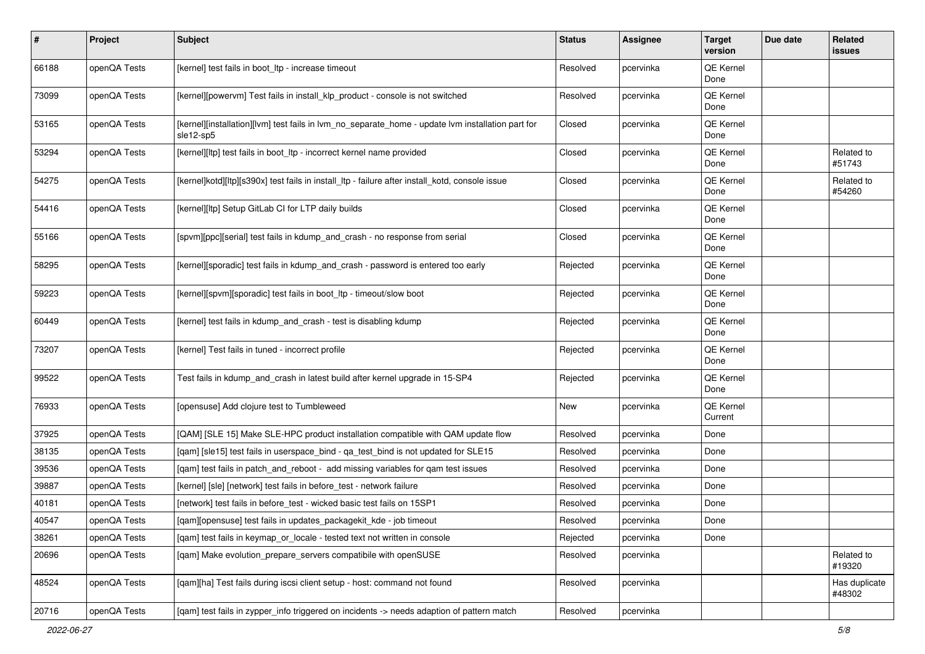| $\pmb{\#}$ | Project      | <b>Subject</b>                                                                                                 | <b>Status</b> | Assignee  | <b>Target</b><br>version | Due date | Related<br>issues       |
|------------|--------------|----------------------------------------------------------------------------------------------------------------|---------------|-----------|--------------------------|----------|-------------------------|
| 66188      | openQA Tests | [kernel] test fails in boot_ltp - increase timeout                                                             | Resolved      | pcervinka | QE Kernel<br>Done        |          |                         |
| 73099      | openQA Tests | [kernel][powervm] Test fails in install_klp_product - console is not switched                                  | Resolved      | pcervinka | QE Kernel<br>Done        |          |                         |
| 53165      | openQA Tests | [kernel][installation][lvm] test fails in lvm_no_separate_home - update lvm installation part for<br>sle12-sp5 | Closed        | pcervinka | QE Kernel<br>Done        |          |                         |
| 53294      | openQA Tests | [kernel][ltp] test fails in boot_ltp - incorrect kernel name provided                                          | Closed        | pcervinka | QE Kernel<br>Done        |          | Related to<br>#51743    |
| 54275      | openQA Tests | [kernel]kotd][ltp][s390x] test fails in install_ltp - failure after install_kotd, console issue                | Closed        | pcervinka | QE Kernel<br>Done        |          | Related to<br>#54260    |
| 54416      | openQA Tests | [kernel][ltp] Setup GitLab CI for LTP daily builds                                                             | Closed        | pcervinka | QE Kernel<br>Done        |          |                         |
| 55166      | openQA Tests | [spvm][ppc][serial] test fails in kdump_and_crash - no response from serial                                    | Closed        | pcervinka | QE Kernel<br>Done        |          |                         |
| 58295      | openQA Tests | [kernel][sporadic] test fails in kdump_and_crash - password is entered too early                               | Rejected      | pcervinka | QE Kernel<br>Done        |          |                         |
| 59223      | openQA Tests | [kernel][spvm][sporadic] test fails in boot_ltp - timeout/slow boot                                            | Rejected      | pcervinka | QE Kernel<br>Done        |          |                         |
| 60449      | openQA Tests | [kernel] test fails in kdump_and_crash - test is disabling kdump                                               | Rejected      | pcervinka | QE Kernel<br>Done        |          |                         |
| 73207      | openQA Tests | [kernel] Test fails in tuned - incorrect profile                                                               | Rejected      | pcervinka | QE Kernel<br>Done        |          |                         |
| 99522      | openQA Tests | Test fails in kdump_and_crash in latest build after kernel upgrade in 15-SP4                                   | Rejected      | pcervinka | QE Kernel<br>Done        |          |                         |
| 76933      | openQA Tests | [opensuse] Add clojure test to Tumbleweed                                                                      | New           | pcervinka | QE Kernel<br>Current     |          |                         |
| 37925      | openQA Tests | [QAM] [SLE 15] Make SLE-HPC product installation compatible with QAM update flow                               | Resolved      | pcervinka | Done                     |          |                         |
| 38135      | openQA Tests | [qam] [sle15] test fails in userspace_bind - qa_test_bind is not updated for SLE15                             | Resolved      | pcervinka | Done                     |          |                         |
| 39536      | openQA Tests | [gam] test fails in patch and reboot - add missing variables for gam test issues                               | Resolved      | pcervinka | Done                     |          |                         |
| 39887      | openQA Tests | [kernel] [sle] [network] test fails in before_test - network failure                                           | Resolved      | pcervinka | Done                     |          |                         |
| 40181      | openQA Tests | [network] test fails in before_test - wicked basic test fails on 15SP1                                         | Resolved      | pcervinka | Done                     |          |                         |
| 40547      | openQA Tests | [qam][opensuse] test fails in updates_packagekit_kde - job timeout                                             | Resolved      | pcervinka | Done                     |          |                         |
| 38261      | openQA Tests | [gam] test fails in keymap or locale - tested text not written in console                                      | Rejected      | pcervinka | Done                     |          |                         |
| 20696      | openQA Tests | [gam] Make evolution prepare servers compatibile with openSUSE                                                 | Resolved      | pcervinka |                          |          | Related to<br>#19320    |
| 48524      | openQA Tests | [qam][ha] Test fails during iscsi client setup - host: command not found                                       | Resolved      | pcervinka |                          |          | Has duplicate<br>#48302 |
| 20716      | openQA Tests | [qam] test fails in zypper_info triggered on incidents -> needs adaption of pattern match                      | Resolved      | pcervinka |                          |          |                         |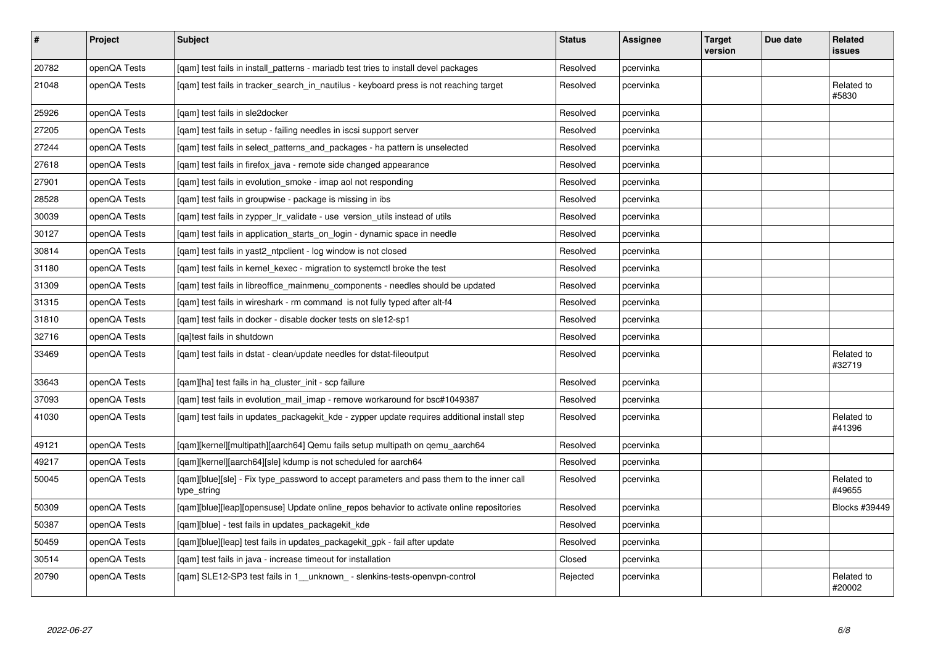| #     | Project      | <b>Subject</b>                                                                                           | <b>Status</b> | <b>Assignee</b> | <b>Target</b><br>version | Due date | Related<br>issues    |
|-------|--------------|----------------------------------------------------------------------------------------------------------|---------------|-----------------|--------------------------|----------|----------------------|
| 20782 | openQA Tests | [gam] test fails in install patterns - mariadb test tries to install devel packages                      | Resolved      | pcervinka       |                          |          |                      |
| 21048 | openQA Tests | [gam] test fails in tracker search in nautilus - keyboard press is not reaching target                   | Resolved      | pcervinka       |                          |          | Related to<br>#5830  |
| 25926 | openQA Tests | [qam] test fails in sle2docker                                                                           | Resolved      | pcervinka       |                          |          |                      |
| 27205 | openQA Tests | [gam] test fails in setup - failing needles in iscsi support server                                      | Resolved      | pcervinka       |                          |          |                      |
| 27244 | openQA Tests | [gam] test fails in select patterns and packages - ha pattern is unselected                              | Resolved      | pcervinka       |                          |          |                      |
| 27618 | openQA Tests | [qam] test fails in firefox_java - remote side changed appearance                                        | Resolved      | pcervinka       |                          |          |                      |
| 27901 | openQA Tests | [gam] test fails in evolution smoke - imap aol not responding                                            | Resolved      | pcervinka       |                          |          |                      |
| 28528 | openQA Tests | [gam] test fails in groupwise - package is missing in ibs                                                | Resolved      | pcervinka       |                          |          |                      |
| 30039 | openQA Tests | [qam] test fails in zypper_lr_validate - use version_utils instead of utils                              | Resolved      | pcervinka       |                          |          |                      |
| 30127 | openQA Tests | [qam] test fails in application_starts_on_login - dynamic space in needle                                | Resolved      | pcervinka       |                          |          |                      |
| 30814 | openQA Tests | [gam] test fails in yast2 ntpclient - log window is not closed                                           | Resolved      | pcervinka       |                          |          |                      |
| 31180 | openQA Tests | [gam] test fails in kernel kexec - migration to systemctl broke the test                                 | Resolved      | pcervinka       |                          |          |                      |
| 31309 | openQA Tests | [gam] test fails in libreoffice mainmenu components - needles should be updated                          | Resolved      | pcervinka       |                          |          |                      |
| 31315 | openQA Tests | [gam] test fails in wireshark - rm command is not fully typed after alt-f4                               | Resolved      | pcervinka       |                          |          |                      |
| 31810 | openQA Tests | [gam] test fails in docker - disable docker tests on sle12-sp1                                           | Resolved      | pcervinka       |                          |          |                      |
| 32716 | openQA Tests | [ga]test fails in shutdown                                                                               | Resolved      | pcervinka       |                          |          |                      |
| 33469 | openQA Tests | [gam] test fails in dstat - clean/update needles for dstat-fileoutput                                    | Resolved      | pcervinka       |                          |          | Related to<br>#32719 |
| 33643 | openQA Tests | [gam][ha] test fails in ha cluster init - scp failure                                                    | Resolved      | pcervinka       |                          |          |                      |
| 37093 | openQA Tests | [gam] test fails in evolution mail imap - remove workaround for bsc#1049387                              | Resolved      | pcervinka       |                          |          |                      |
| 41030 | openQA Tests | [gam] test fails in updates packagekit kde - zypper update requires additional install step              | Resolved      | pcervinka       |                          |          | Related to<br>#41396 |
| 49121 | openQA Tests | [gam][kernel][multipath][aarch64] Qemu fails setup multipath on gemu aarch64                             | Resolved      | pcervinka       |                          |          |                      |
| 49217 | openQA Tests | [gam][kernel][aarch64][sle] kdump is not scheduled for aarch64                                           | Resolved      | pcervinka       |                          |          |                      |
| 50045 | openQA Tests | [qam][blue][sle] - Fix type_password to accept parameters and pass them to the inner call<br>type_string | Resolved      | pcervinka       |                          |          | Related to<br>#49655 |
| 50309 | openQA Tests | [qam][blue][leap][opensuse] Update online_repos behavior to activate online repositories                 | Resolved      | pcervinka       |                          |          | Blocks #39449        |
| 50387 | openQA Tests | [qam][blue] - test fails in updates_packagekit_kde                                                       | Resolved      | pcervinka       |                          |          |                      |
| 50459 | openQA Tests | [gam][blue][leap] test fails in updates packagekit gpk - fail after update                               | Resolved      | pcervinka       |                          |          |                      |
| 30514 | openQA Tests | [gam] test fails in java - increase timeout for installation                                             | Closed        | pcervinka       |                          |          |                      |
| 20790 | openQA Tests | [gam] SLE12-SP3 test fails in 1 unknown - slenkins-tests-openvpn-control                                 | Rejected      | pcervinka       |                          |          | Related to<br>#20002 |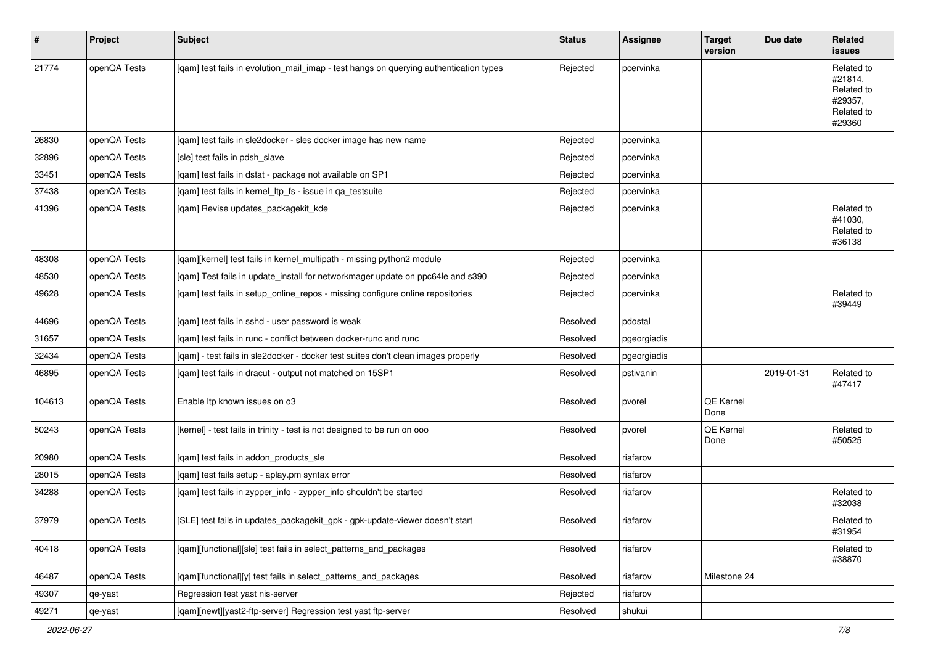| $\vert$ # | Project      | Subject                                                                               | <b>Status</b> | <b>Assignee</b> | <b>Target</b><br>version | Due date   | Related<br><b>issues</b>                                               |
|-----------|--------------|---------------------------------------------------------------------------------------|---------------|-----------------|--------------------------|------------|------------------------------------------------------------------------|
| 21774     | openQA Tests | [qam] test fails in evolution_mail_imap - test hangs on querying authentication types | Rejected      | pcervinka       |                          |            | Related to<br>#21814,<br>Related to<br>#29357,<br>Related to<br>#29360 |
| 26830     | openQA Tests | [qam] test fails in sle2docker - sles docker image has new name                       | Rejected      | pcervinka       |                          |            |                                                                        |
| 32896     | openQA Tests | [sle] test fails in pdsh slave                                                        | Rejected      | pcervinka       |                          |            |                                                                        |
| 33451     | openQA Tests | [qam] test fails in dstat - package not available on SP1                              | Rejected      | pcervinka       |                          |            |                                                                        |
| 37438     | openQA Tests | [qam] test fails in kernel_ltp_fs - issue in qa_testsuite                             | Rejected      | pcervinka       |                          |            |                                                                        |
| 41396     | openQA Tests | [qam] Revise updates_packagekit_kde                                                   | Rejected      | pcervinka       |                          |            | Related to<br>#41030,<br>Related to<br>#36138                          |
| 48308     | openQA Tests | [qam][kernel] test fails in kernel_multipath - missing python2 module                 | Rejected      | pcervinka       |                          |            |                                                                        |
| 48530     | openQA Tests | [qam] Test fails in update_install for networkmager update on ppc64le and s390        | Rejected      | pcervinka       |                          |            |                                                                        |
| 49628     | openQA Tests | [qam] test fails in setup_online_repos - missing configure online repositories        | Rejected      | pcervinka       |                          |            | Related to<br>#39449                                                   |
| 44696     | openQA Tests | [gam] test fails in sshd - user password is weak                                      | Resolved      | pdostal         |                          |            |                                                                        |
| 31657     | openQA Tests | [qam] test fails in runc - conflict between docker-runc and runc                      | Resolved      | pgeorgiadis     |                          |            |                                                                        |
| 32434     | openQA Tests | [qam] - test fails in sle2docker - docker test suites don't clean images properly     | Resolved      | pgeorgiadis     |                          |            |                                                                        |
| 46895     | openQA Tests | [qam] test fails in dracut - output not matched on 15SP1                              | Resolved      | pstivanin       |                          | 2019-01-31 | Related to<br>#47417                                                   |
| 104613    | openQA Tests | Enable Itp known issues on o3                                                         | Resolved      | pvorel          | QE Kernel<br>Done        |            |                                                                        |
| 50243     | openQA Tests | [kernel] - test fails in trinity - test is not designed to be run on ooo              | Resolved      | pvorel          | QE Kernel<br>Done        |            | Related to<br>#50525                                                   |
| 20980     | openQA Tests | [qam] test fails in addon_products_sle                                                | Resolved      | riafarov        |                          |            |                                                                        |
| 28015     | openQA Tests | [qam] test fails setup - aplay.pm syntax error                                        | Resolved      | riafarov        |                          |            |                                                                        |
| 34288     | openQA Tests | [qam] test fails in zypper_info - zypper_info shouldn't be started                    | Resolved      | riafarov        |                          |            | Related to<br>#32038                                                   |
| 37979     | openQA Tests | [SLE] test fails in updates_packagekit_gpk - gpk-update-viewer doesn't start          | Resolved      | riafarov        |                          |            | Related to<br>#31954                                                   |
| 40418     | openQA Tests | [qam][functional][sle] test fails in select_patterns_and_packages                     | Resolved      | riafarov        |                          |            | Related to<br>#38870                                                   |
| 46487     | openQA Tests | [qam][functional][y] test fails in select_patterns_and_packages                       | Resolved      | riafarov        | Milestone 24             |            |                                                                        |
| 49307     | qe-yast      | Regression test yast nis-server                                                       | Rejected      | riafarov        |                          |            |                                                                        |
| 49271     | qe-yast      | [qam][newt][yast2-ftp-server] Regression test yast ftp-server                         | Resolved      | shukui          |                          |            |                                                                        |